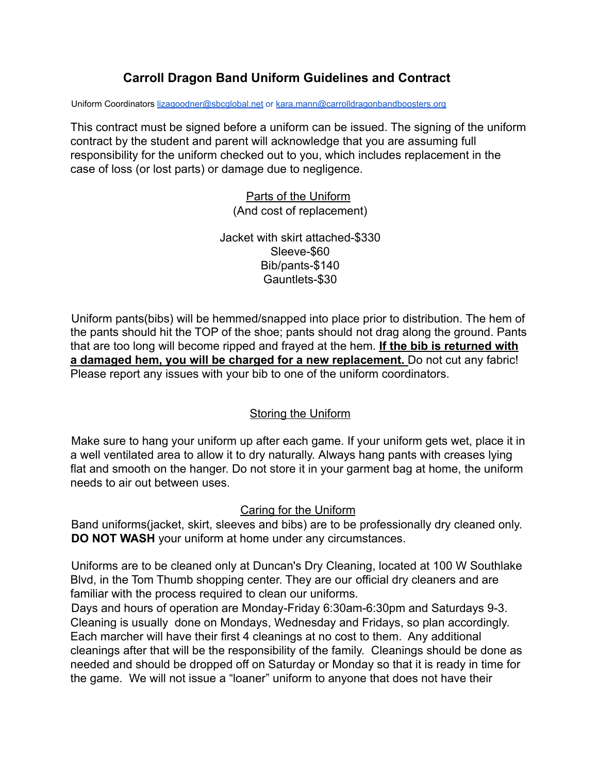## **Carroll Dragon Band Uniform Guidelines and Contract**

Uniform Coordinators lizagoodner@sbcglobal.net or [kara.mann@carrolldragonbandboosters.org](mailto:kara.mann@carrolldragonbandboosters.org)

This contract must be signed before a uniform can be issued. The signing of the uniform contract by the student and parent will acknowledge that you are assuming full responsibility for the uniform checked out to you, which includes replacement in the case of loss (or lost parts) or damage due to negligence.

> Parts of the Uniform (And cost of replacement)

Jacket with skirt attached-\$330 Sleeve-\$60 Bib/pants-\$140 Gauntlets-\$30

Uniform pants(bibs) will be hemmed/snapped into place prior to distribution. The hem of the pants should hit the TOP of the shoe; pants should not drag along the ground. Pants that are too long will become ripped and frayed at the hem. **If the bib is returned with a damaged hem, you will be charged for a new replacement.** Do not cut any fabric! Please report any issues with your bib to one of the uniform coordinators.

### Storing the Uniform

Make sure to hang your uniform up after each game. If your uniform gets wet, place it in a well ventilated area to allow it to dry naturally. Always hang pants with creases lying flat and smooth on the hanger. Do not store it in your garment bag at home, the uniform needs to air out between uses.

#### Caring for the Uniform

Band uniforms(jacket, skirt, sleeves and bibs) are to be professionally dry cleaned only. **DO NOT WASH** your uniform at home under any circumstances.

Uniforms are to be cleaned only at Duncan's Dry Cleaning, located at 100 W Southlake Blvd, in the Tom Thumb shopping center. They are our official dry cleaners and are familiar with the process required to clean our uniforms.

Days and hours of operation are Monday-Friday 6:30am-6:30pm and Saturdays 9-3. Cleaning is usually done on Mondays, Wednesday and Fridays, so plan accordingly. Each marcher will have their first 4 cleanings at no cost to them. Any additional cleanings after that will be the responsibility of the family. Cleanings should be done as needed and should be dropped off on Saturday or Monday so that it is ready in time for the game. We will not issue a "loaner" uniform to anyone that does not have their